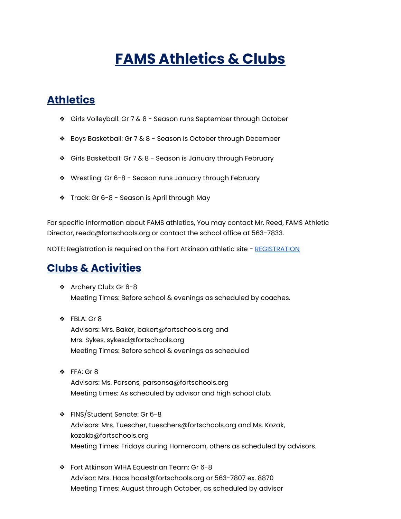## **FAMS Athletics & Clubs**

## **Athletics**

- ❖ Girls Volleyball: Gr 7 & 8 Season runs September through October
- ❖ Boys Basketball: Gr 7 & 8 Season is October through December
- ❖ Girls Basketball: Gr 7 & 8 Season is January through February
- ❖ Wrestling: Gr 6-8 Season runs January through February
- ❖ Track: Gr 6-8 Season is April through May

For specific information about FAMS athletics, You may contact Mr. Reed, FAMS Athletic Director, reedc@fortschools.org or contact the school office at 563-7833.

NOTE: Registration is required on the Fort Atkinson athletic site - [REGISTRATION](https://fortathletics.sportngin.com/register/form/780374126#_ga=2.72346128.2040917006.1630681613-1995145012.1594649804)

## **Clubs & Activities**

- ❖ Archery Club: Gr 6-8 Meeting Times: Before school & evenings as scheduled by coaches.
- ❖ FBLA: Gr 8 Advisors: Mrs. Baker, bakert@fortschools.org and Mrs. Sykes, sykesd@fortschools.org Meeting Times: Before school & evenings as scheduled
- ❖ FFA: Gr 8 Advisors: Ms. Parsons, parsonsa@fortschools.org Meeting times: As scheduled by advisor and high school club.
- ❖ FINS/Student Senate: Gr 6-8 Advisors: Mrs. Tuescher, tueschers@fortschools.org and Ms. Kozak, kozakb@fortschools.org Meeting Times: Fridays during Homeroom, others as scheduled by advisors.
- ❖ Fort Atkinson WIHA Equestrian Team: Gr 6-8 Advisor: Mrs. Haas haasl@fortschools.org or 563-7807 ex. 8870 Meeting Times: August through October, as scheduled by advisor